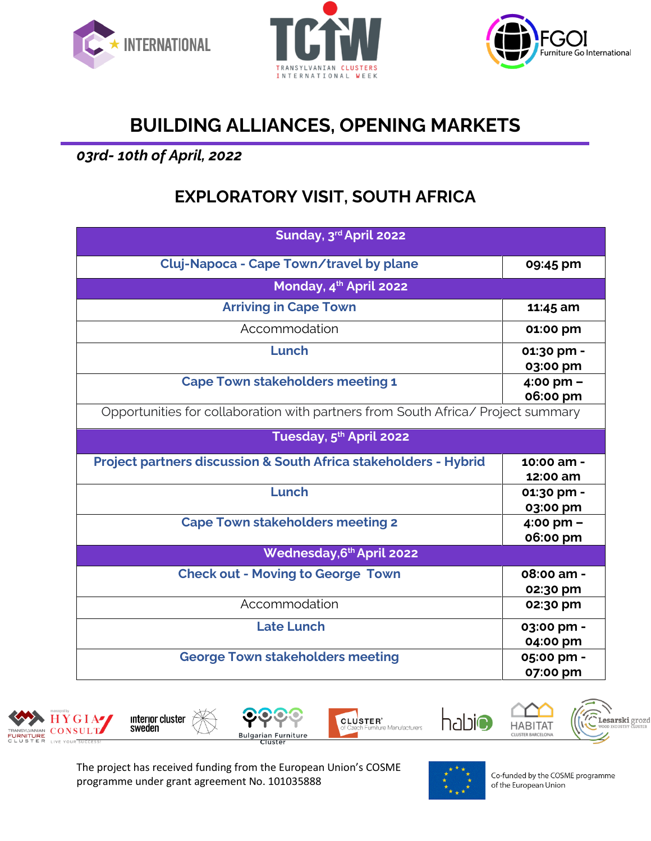





## **BUILDING ALLIANCES, OPENING MARKETS**

## *03rd- 10th of April, 2022*

## **EXPLORATORY VISIT, SOUTH AFRICA**

| Sunday, 3rd April 2022                                                           |                        |  |
|----------------------------------------------------------------------------------|------------------------|--|
| Cluj-Napoca - Cape Town/travel by plane                                          | 09:45 pm               |  |
| Monday, 4th April 2022                                                           |                        |  |
| <b>Arriving in Cape Town</b>                                                     | 11:45 am               |  |
| Accommodation                                                                    | 01:00 pm               |  |
| Lunch                                                                            | 01:30 pm -<br>03:00 pm |  |
| <b>Cape Town stakeholders meeting 1</b>                                          | 4:00 pm -<br>06:00 pm  |  |
| Opportunities for collaboration with partners from South Africa/ Project summary |                        |  |
| Tuesday, 5th April 2022                                                          |                        |  |
| <b>Project partners discussion &amp; South Africa stakeholders - Hybrid</b>      | 10:00 am -<br>12:00 am |  |
| Lunch                                                                            | 01:30 pm -<br>03:00 pm |  |
| <b>Cape Town stakeholders meeting 2</b>                                          | 4:00 pm -<br>06:00 pm  |  |
| Wednesday, 6th April 2022                                                        |                        |  |
| <b>Check out - Moving to George Town</b>                                         | 08:00 am -<br>02:30 pm |  |
| Accommodation                                                                    | 02:30 pm               |  |
| <b>Late Lunch</b>                                                                | 03:00 pm -<br>04:00 pm |  |
| <b>George Town stakeholders meeting</b>                                          | 05:00 pm -<br>07:00 pm |  |







Co-funded by the COSME programme of the European Union

Lesarski grozd